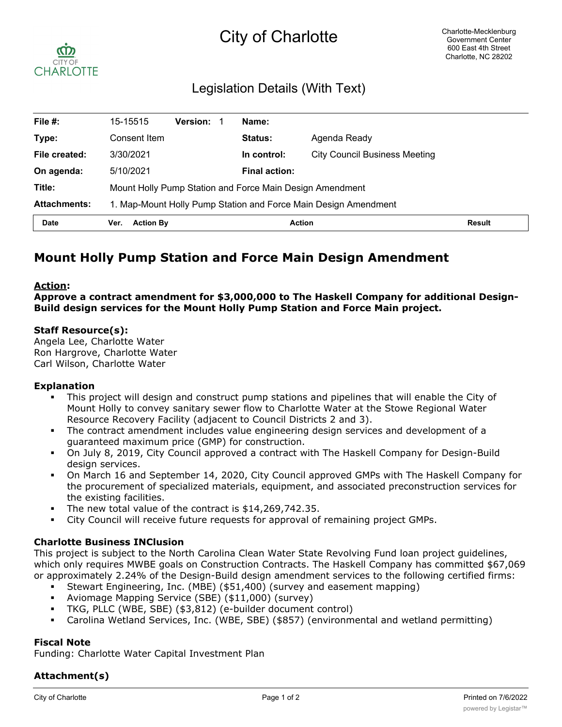# City of Charlotte



# Legislation Details (With Text)

| File $#$ :          | 15-15515                                                        | <b>Version:</b> |  | Name:                |                                      |               |
|---------------------|-----------------------------------------------------------------|-----------------|--|----------------------|--------------------------------------|---------------|
| Type:               | Consent Item                                                    |                 |  | Status:              | Agenda Ready                         |               |
| File created:       | 3/30/2021                                                       |                 |  | In control:          | <b>City Council Business Meeting</b> |               |
| On agenda:          | 5/10/2021                                                       |                 |  | <b>Final action:</b> |                                      |               |
| Title:              | Mount Holly Pump Station and Force Main Design Amendment        |                 |  |                      |                                      |               |
| <b>Attachments:</b> | 1. Map-Mount Holly Pump Station and Force Main Design Amendment |                 |  |                      |                                      |               |
| <b>Date</b>         | <b>Action By</b><br>Ver.                                        |                 |  | <b>Action</b>        |                                      | <b>Result</b> |

# **Mount Holly Pump Station and Force Main Design Amendment**

# **Action:**

**Approve a contract amendment for \$3,000,000 to The Haskell Company for additional Design-Build design services for the Mount Holly Pump Station and Force Main project.**

#### **Staff Resource(s):**

Angela Lee, Charlotte Water Ron Hargrove, Charlotte Water Carl Wilson, Charlotte Water

#### **Explanation**

- § This project will design and construct pump stations and pipelines that will enable the City of Mount Holly to convey sanitary sewer flow to Charlotte Water at the Stowe Regional Water Resource Recovery Facility (adjacent to Council Districts 2 and 3).
- § The contract amendment includes value engineering design services and development of a guaranteed maximum price (GMP) for construction.
- § On July 8, 2019, City Council approved a contract with The Haskell Company for Design-Build design services.
- § On March 16 and September 14, 2020, City Council approved GMPs with The Haskell Company for the procurement of specialized materials, equipment, and associated preconstruction services for the existing facilities.
- § The new total value of the contract is \$14,269,742.35.
- § City Council will receive future requests for approval of remaining project GMPs.

# **Charlotte Business INClusion**

This project is subject to the North Carolina Clean Water State Revolving Fund loan project guidelines, which only requires MWBE goals on Construction Contracts. The Haskell Company has committed \$67,069 or approximately 2.24% of the Design-Build design amendment services to the following certified firms:

- § Stewart Engineering, Inc. (MBE) (\$51,400) (survey and easement mapping)
- § Aviomage Mapping Service (SBE) (\$11,000) (survey)
- § TKG, PLLC (WBE, SBE) (\$3,812) (e-builder document control)
- § Carolina Wetland Services, Inc. (WBE, SBE) (\$857) (environmental and wetland permitting)

# **Fiscal Note**

Funding: Charlotte Water Capital Investment Plan

# **Attachment(s)**